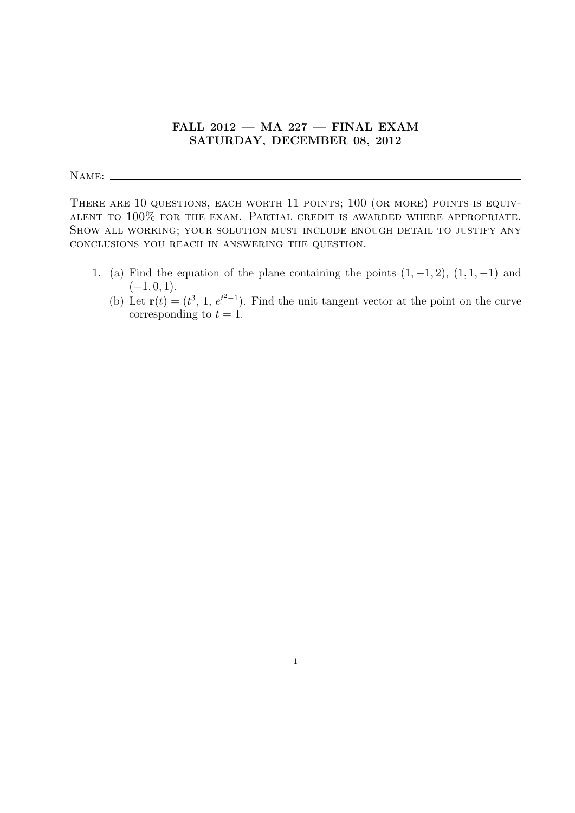## FALL  $2012$  – MA  $227$  – FINAL EXAM SATURDAY, DECEMBER 08, 2012

NAME:

THERE ARE 10 QUESTIONS, EACH WORTH 11 POINTS; 100 (OR MORE) POINTS IS EQUIValent to 100% for the exam. Partial credit is awarded where appropriate. Show all working; your solution must include enough detail to justify any conclusions you reach in answering the question.

- 1. (a) Find the equation of the plane containing the points  $(1, -1, 2)$ ,  $(1, 1, -1)$  and  $(-1, 0, 1).$ 
	- (b) Let  $\mathbf{r}(t) = (t^3, 1, e^{t^2-1})$ . Find the unit tangent vector at the point on the curve corresponding to  $t = 1$ .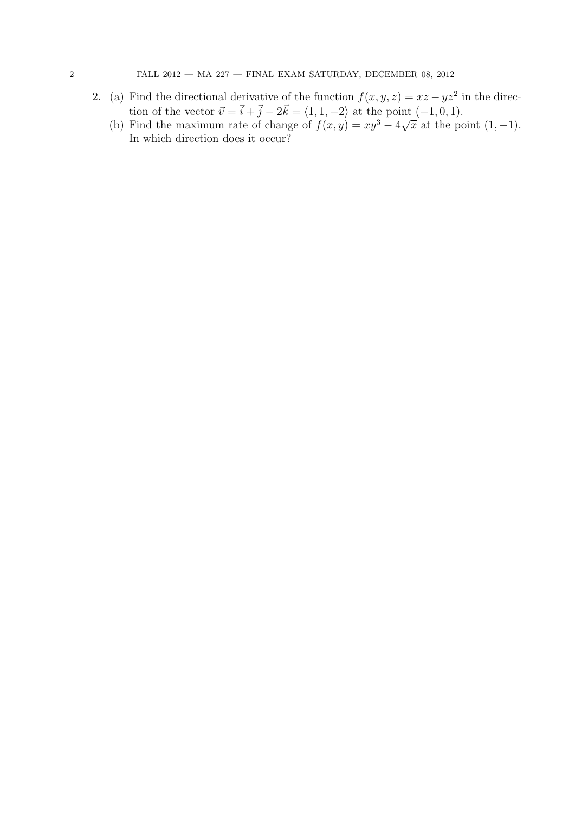- 2. (a) Find the directional derivative of the function  $f(x, y, z) = xz yz^2$  in the direction of the vector  $\vec{v} = \vec{i} + \vec{j} - 2\vec{k} = \langle 1, 1, -2 \rangle$  at the point  $(-1, 0, 1)$ .
	- (b) Find the maximum rate of change of  $f(x, y) = xy^3 4\sqrt{2}$  $\overline{x}$  at the point  $(1, -1)$ . In which direction does it occur?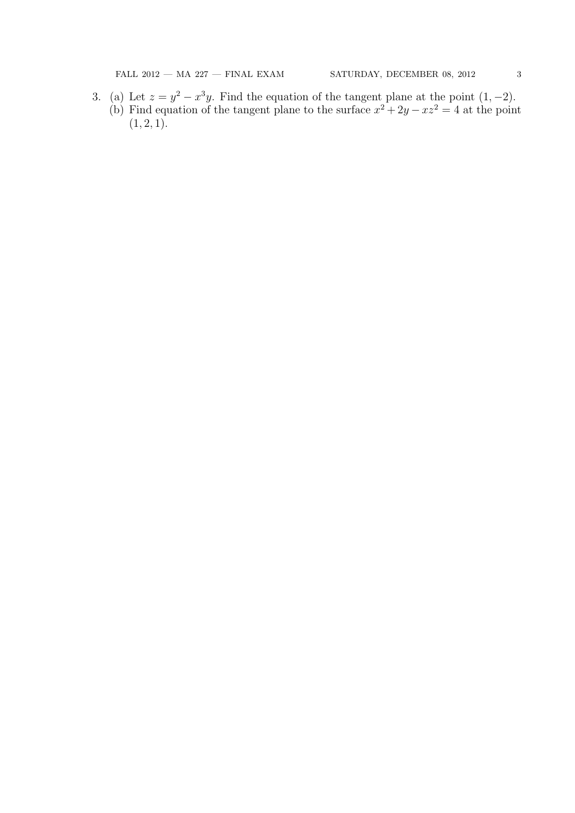$\begin{array}{lcl} \text{FALL 2012} \; - \; \text{MA 227} \; - \; \text{FINAL EXAM} & \text{SATUREAY, DECEMBER 08, 2012} \\ \end{array} \qquad \qquad \text{3} \\ \begin{array}{l} \text{3} \\ \text{4} \\ \text{5} \\ \text{6} \\ \text{7} \\ \text{8} \\ \text{9} \\ \text{10} \\ \text{11} \\ \text{12} \\ \text{13} \\ \text{14} \\ \text{16} \\ \text{17} \\ \text{18} \\ \text{19} \\ \text{19} \\ \text{10} \\ \text{11} \\$ 

3. (a) Let  $z = y^2 - x^3y$ . Find the equation of the tangent plane at the point  $(1, -2)$ . (b) Find equation of the tangent plane to the surface  $x^2 + 2y - xz^2 = 4$  at the point  $(1, 2, 1).$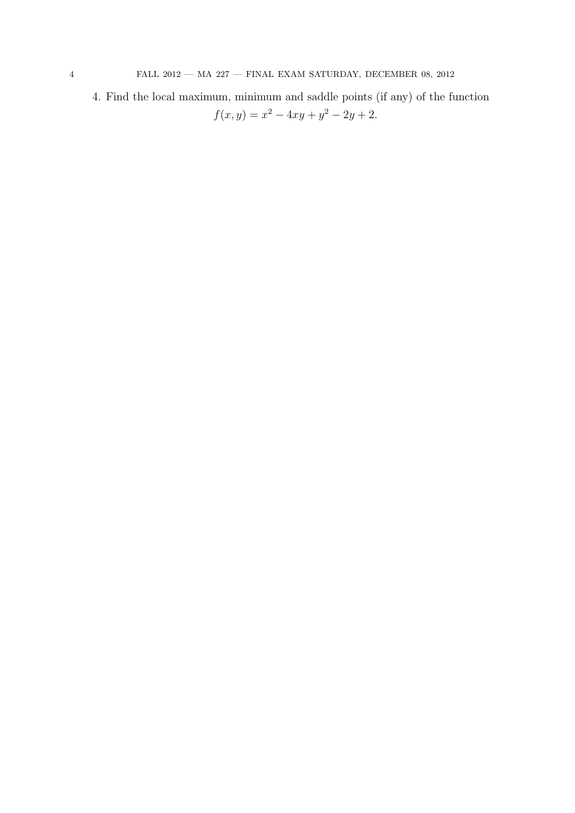4. Find the local maximum, minimum and saddle points (if any) of the function  $f(x,y) = x^2 - 4xy + y^2 - 2y + 2.$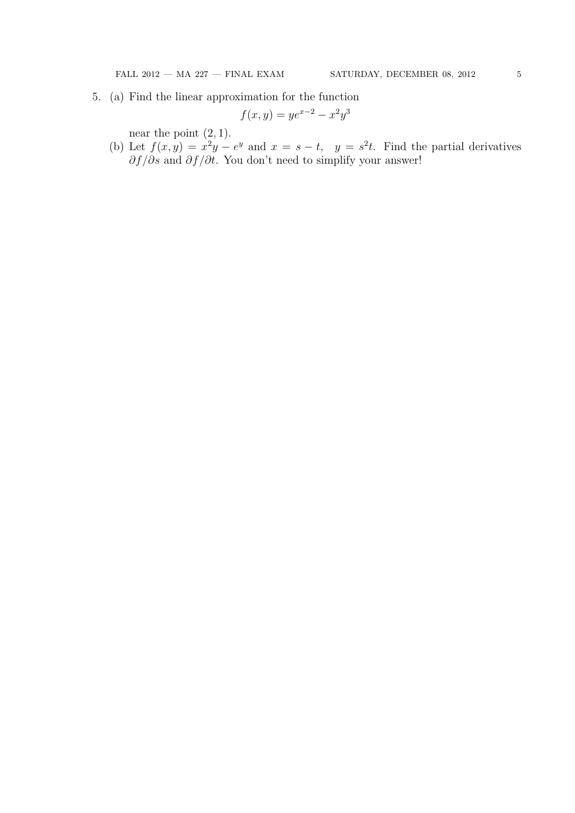$\begin{array}{lcl} \text{FALL 2012} \; - \; \text{MA 227} \; - \; \text{FINAL EXAM} & \text{SATUREAY, DECEMBER 08, 2012} \\ \end{array} \qquad \qquad \text{5} \\ \begin{array}{l} \text{5} \\ \text{6} \\ \text{7} \\ \text{8} \\ \text{9} \\ \text{10} \\ \text{11} \\ \text{12} \\ \text{13} \\ \text{14} \\ \text{16} \\ \text{17} \\ \text{18} \\ \text{19} \\ \text{19} \\ \text{10} \\ \text{11} \\ \text{12} \\ \text{13$ 

5. (a) Find the linear approximation for the function

$$
f(x, y) = ye^{x-2} - x^2y^3
$$

near the point  $(2, 1)$ .

(b) Let  $f(x,y) = x^2y - e^y$  and  $x = s - t$ ,  $y = s^2t$ . Find the partial derivatives  $\partial f/\partial s$  and  $\partial f/\partial t$ . You don't need to simplify your answer!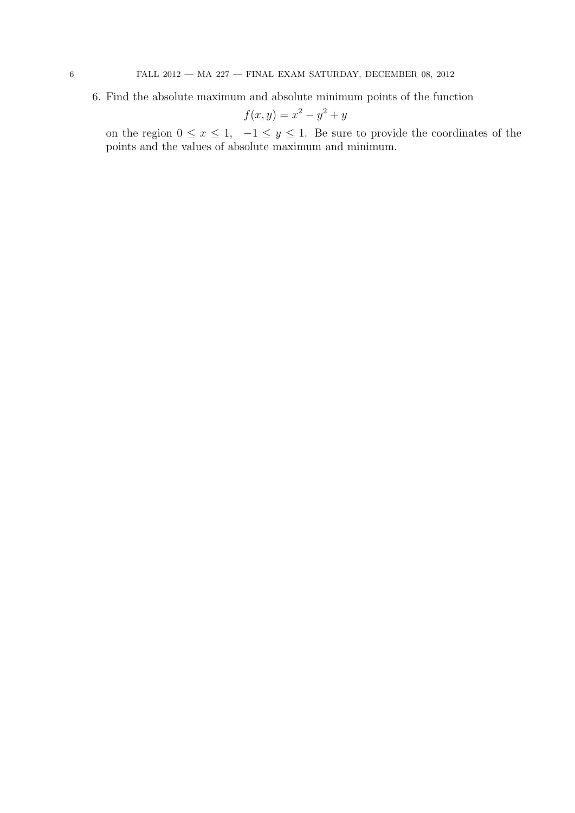6. Find the absolute maximum and absolute minimum points of the function

$$
f(x,y) = x^2 - y^2 + y
$$

on the region  $0 \le x \le 1$ ,  $-1 \le y \le 1$ . Be sure to provide the coordinates of the points and the values of absolute maximum and minimum.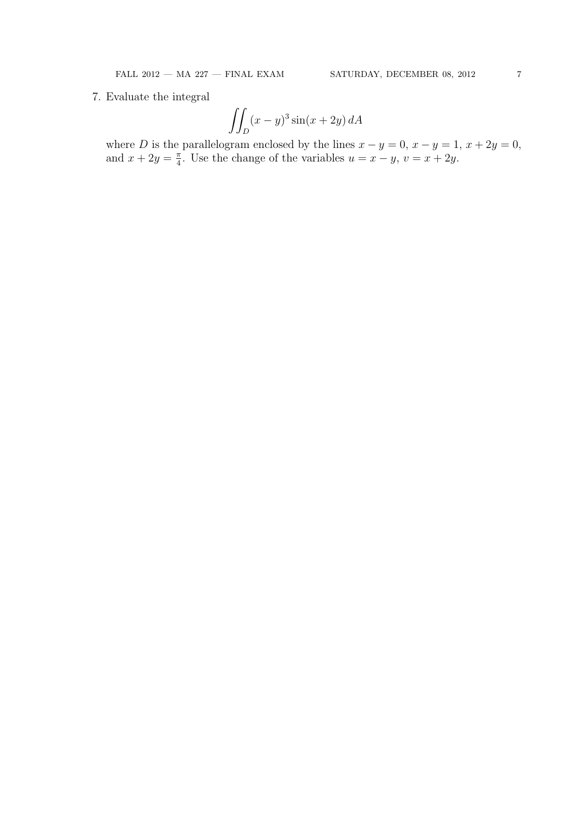7. Evaluate the integral

$$
\iint_D (x-y)^3 \sin(x+2y) \, dA
$$

where D is the parallelogram enclosed by the lines  $x - y = 0$ ,  $x - y = 1$ ,  $x + 2y = 0$ , and  $x + 2y = \frac{\pi}{4}$  $\frac{\pi}{4}$ . Use the change of the variables  $u = x - y$ ,  $v = x + 2y$ .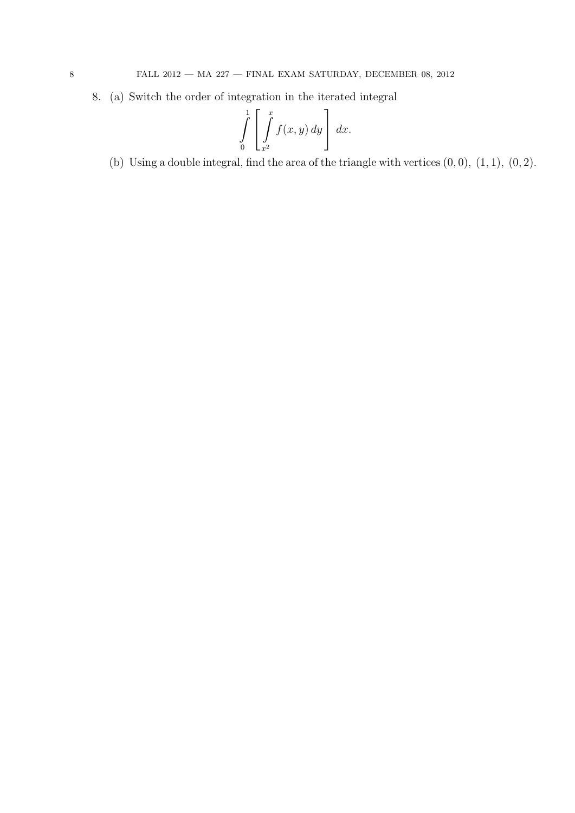8. (a) Switch the order of integration in the iterated integral

$$
\int\limits_{0}^{1} \left[ \int\limits_{x^{2}}^{x} f(x, y) \, dy \right] \, dx.
$$

(b) Using a double integral, find the area of the triangle with vertices  $(0, 0)$ ,  $(1, 1)$ ,  $(0, 2)$ .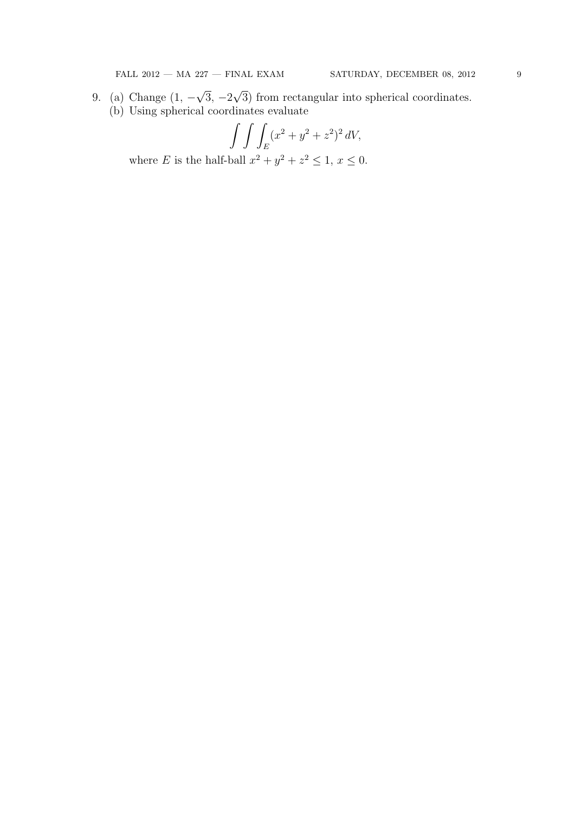- 9. (a) Change (1, − √  $3, -2$ √ 3) from rectangular into spherical coordinates.
	- (b) Using spherical coordinates evaluate

$$
\int \int \int_E (x^2 + y^2 + z^2)^2 dV,
$$

where E is the half-ball  $x^2 + y^2 + z^2 \leq 1$ ,  $x \leq 0$ .